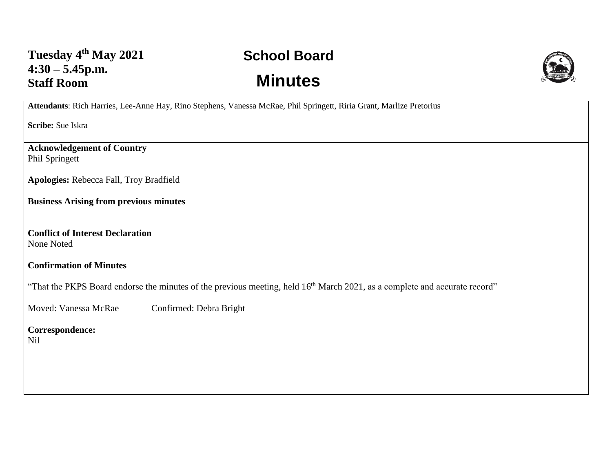## **School Board Minutes**



**Attendants**: Rich Harries, Lee-Anne Hay, Rino Stephens, Vanessa McRae, Phil Springett, Riria Grant, Marlize Pretorius

**Scribe:** Sue Iskra

**Acknowledgement of Country** Phil Springett

**Apologies:** Rebecca Fall, Troy Bradfield

**Business Arising from previous minutes**

**Conflict of Interest Declaration** None Noted

## **Confirmation of Minutes**

"That the PKPS Board endorse the minutes of the previous meeting, held 16<sup>th</sup> March 2021, as a complete and accurate record"

Moved: Vanessa McRae Confirmed: Debra Bright

**Correspondence:**  Nil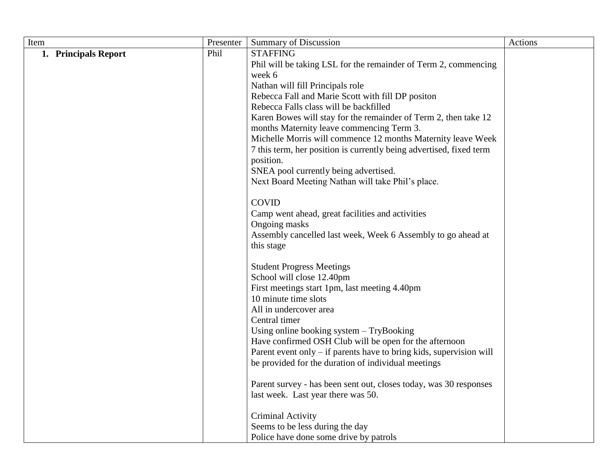| Item                 | Presenter | <b>Summary of Discussion</b>                                          | Actions |
|----------------------|-----------|-----------------------------------------------------------------------|---------|
| 1. Principals Report | Phil      | <b>STAFFING</b>                                                       |         |
|                      |           | Phil will be taking LSL for the remainder of Term 2, commencing       |         |
|                      |           | week 6                                                                |         |
|                      |           | Nathan will fill Principals role                                      |         |
|                      |           | Rebecca Fall and Marie Scott with fill DP positon                     |         |
|                      |           | Rebecca Falls class will be backfilled                                |         |
|                      |           | Karen Bowes will stay for the remainder of Term 2, then take 12       |         |
|                      |           | months Maternity leave commencing Term 3.                             |         |
|                      |           | Michelle Morris will commence 12 months Maternity leave Week          |         |
|                      |           | 7 this term, her position is currently being advertised, fixed term   |         |
|                      |           | position.                                                             |         |
|                      |           | SNEA pool currently being advertised.                                 |         |
|                      |           | Next Board Meeting Nathan will take Phil's place.                     |         |
|                      |           | <b>COVID</b>                                                          |         |
|                      |           | Camp went ahead, great facilities and activities                      |         |
|                      |           | Ongoing masks                                                         |         |
|                      |           | Assembly cancelled last week, Week 6 Assembly to go ahead at          |         |
|                      |           | this stage                                                            |         |
|                      |           |                                                                       |         |
|                      |           | <b>Student Progress Meetings</b>                                      |         |
|                      |           | School will close 12.40pm                                             |         |
|                      |           | First meetings start 1pm, last meeting 4.40pm<br>10 minute time slots |         |
|                      |           | All in undercover area                                                |         |
|                      |           | Central timer                                                         |         |
|                      |           | Using online booking system $-$ TryBooking                            |         |
|                      |           | Have confirmed OSH Club will be open for the afternoon                |         |
|                      |           | Parent event only – if parents have to bring kids, supervision will   |         |
|                      |           | be provided for the duration of individual meetings                   |         |
|                      |           |                                                                       |         |
|                      |           | Parent survey - has been sent out, closes today, was 30 responses     |         |
|                      |           | last week. Last year there was 50.                                    |         |
|                      |           | Criminal Activity                                                     |         |
|                      |           | Seems to be less during the day                                       |         |
|                      |           | Police have done some drive by patrols                                |         |
|                      |           |                                                                       |         |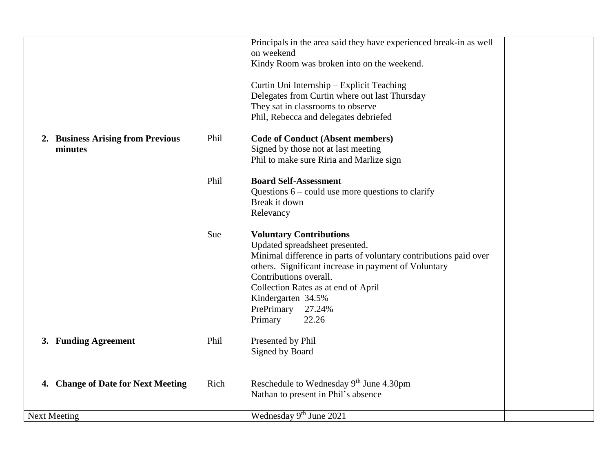|                                    |      | Principals in the area said they have experienced break-in as well |  |
|------------------------------------|------|--------------------------------------------------------------------|--|
|                                    |      | on weekend                                                         |  |
|                                    |      | Kindy Room was broken into on the weekend.                         |  |
|                                    |      |                                                                    |  |
|                                    |      | Curtin Uni Internship - Explicit Teaching                          |  |
|                                    |      |                                                                    |  |
|                                    |      | Delegates from Curtin where out last Thursday                      |  |
|                                    |      | They sat in classrooms to observe                                  |  |
|                                    |      | Phil, Rebecca and delegates debriefed                              |  |
|                                    |      |                                                                    |  |
| 2. Business Arising from Previous  | Phil | <b>Code of Conduct (Absent members)</b>                            |  |
| minutes                            |      | Signed by those not at last meeting                                |  |
|                                    |      | Phil to make sure Riria and Marlize sign                           |  |
|                                    |      |                                                                    |  |
|                                    | Phil | <b>Board Self-Assessment</b>                                       |  |
|                                    |      | Questions $6$ – could use more questions to clarify                |  |
|                                    |      | Break it down                                                      |  |
|                                    |      |                                                                    |  |
|                                    |      | Relevancy                                                          |  |
|                                    | Sue  | <b>Voluntary Contributions</b>                                     |  |
|                                    |      |                                                                    |  |
|                                    |      | Updated spreadsheet presented.                                     |  |
|                                    |      | Minimal difference in parts of voluntary contributions paid over   |  |
|                                    |      | others. Significant increase in payment of Voluntary               |  |
|                                    |      | Contributions overall.                                             |  |
|                                    |      | Collection Rates as at end of April                                |  |
|                                    |      | Kindergarten 34.5%                                                 |  |
|                                    |      | PrePrimary<br>27.24%                                               |  |
|                                    |      |                                                                    |  |
|                                    |      | Primary<br>22.26                                                   |  |
| 3. Funding Agreement               | Phil | Presented by Phil                                                  |  |
|                                    |      | Signed by Board                                                    |  |
|                                    |      |                                                                    |  |
|                                    |      |                                                                    |  |
| 4. Change of Date for Next Meeting | Rich | Reschedule to Wednesday 9th June 4.30pm                            |  |
|                                    |      | Nathan to present in Phil's absence                                |  |
|                                    |      |                                                                    |  |
| <b>Next Meeting</b>                |      | Wednesday 9 <sup>th</sup> June 2021                                |  |
|                                    |      |                                                                    |  |